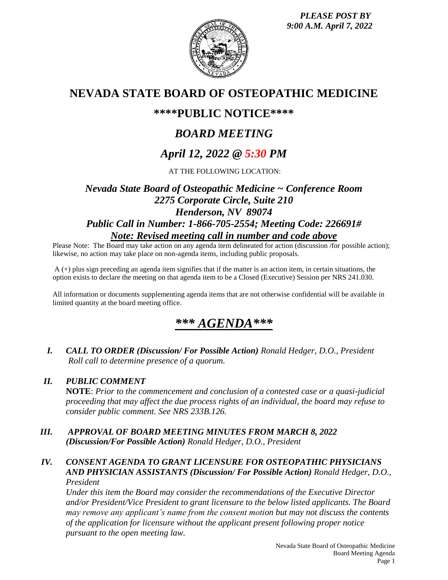*PLEASE POST BY 9:00 A.M. April 7, 2022*



## **NEVADA STATE BOARD OF OSTEOPATHIC MEDICINE**

## **\*\*\*\*PUBLIC NOTICE\*\*\*\***

# *BOARD MEETING*

# *April 12, 2022 @ 5:30 PM*

AT THE FOLLOWING LOCATION:

## *Nevada State Board of Osteopathic Medicine ~ Conference Room 2275 Corporate Circle, Suite 210 Henderson, NV 89074 Public Call in Number: 1-866-705-2554; Meeting Code: 226691# Note: Revised meeting call in number and code above*

Please Note: The Board may take action on any agenda item delineated for action (discussion /for possible action); likewise, no action may take place on non-agenda items, including public proposals.

A (+) plus sign preceding an agenda item signifies that if the matter is an action item, in certain situations, the option exists to declare the meeting on that agenda item to be a Closed (Executive) Session per NRS 241.030.

All information or documents supplementing agenda items that are not otherwise confidential will be available in limited quantity at the board meeting office.

# *\*\*\* AGENDA\*\*\**

*I. CALL TO ORDER (Discussion/ For Possible Action) Ronald Hedger, D.O., President Roll call to determine presence of a quorum.*

### *II. PUBLIC COMMENT*

**NOTE**: *Prior to the commencement and conclusion of a contested case or a quasi-judicial proceeding that may affect the due process rights of an individual, the board may refuse to consider public comment. See NRS 233B.126.*

### *III. APPROVAL OF BOARD MEETING MINUTES FROM MARCH 8, 2022 (Discussion/For Possible Action) Ronald Hedger, D.O., President*

### *IV. CONSENT AGENDA TO GRANT LICENSURE FOR OSTEOPATHIC PHYSICIANS AND PHYSICIAN ASSISTANTS (Discussion/ For Possible Action) Ronald Hedger, D.O., President*

*Under this item the Board may consider the recommendations of the Executive Director and/or President/Vice President to grant licensure to the below listed applicants. The Board may remove any applicant's name from the consent motion but may not discuss the contents of the application for licensure without the applicant present following proper notice pursuant to the open meeting law.*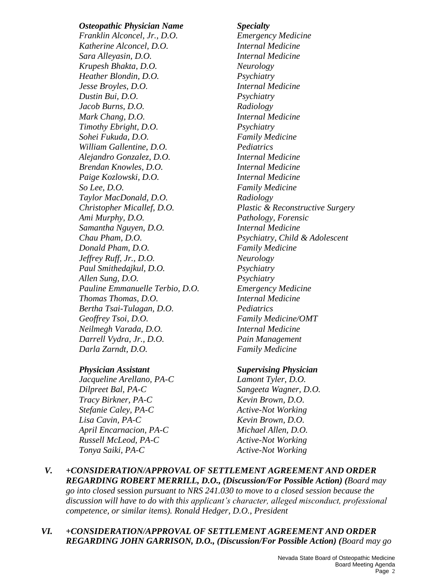### *Osteopathic Physician Name Specialty*

*Franklin Alconcel, Jr., D.O. Emergency Medicine Katherine Alconcel, D.O. Internal Medicine Sara Alleyasin, D.O. Internal Medicine Krupesh Bhakta, D.O. Neurology Heather Blondin, D.O. Psychiatry Jesse Broyles, D.O. Internal Medicine Dustin Bui, D.O. Psychiatry Jacob Burns, D.O. Radiology Mark Chang, D.O. Internal Medicine Timothy Ebright, D.O. Psychiatry Sohei Fukuda, D.O. Family Medicine William Gallentine, D.O. Pediatrics Alejandro Gonzalez, D.O. Internal Medicine Brendan Knowles, D.O. Internal Medicine Paige Kozlowski, D.O. Internal Medicine So Lee, D.O. Family Medicine Taylor MacDonald, D.O. Radiology Ami Murphy, D.O. Pathology, Forensic Samantha Nguyen, D.O. Internal Medicine Chau Pham, D.O. Psychiatry, Child & Adolescent Donald Pham, D.O. Family Medicine Jeffrey Ruff, Jr., D.O. Neurology Paul Smithedajkul, D.O. Psychiatry Allen Sung, D.O. Psychiatry Pauline Emmanuelle Terbio, D.O. Emergency Medicine Thomas Thomas, D.O. Internal Medicine Bertha Tsai-Tulagan, D.O. Pediatrics Geoffrey Tsoi, D.O. Family Medicine/OMT Neilmegh Varada, D.O. Internal Medicine Darrell Vydra, Jr., D.O. Pain Management Darla Zarndt, D.O. Family Medicine* 

*Jacqueline Arellano, PA-C Lamont Tyler, D.O. Dilpreet Bal, PA-C Sangeeta Wagner, D.O. Tracy Birkner, PA-C Kevin Brown, D.O. Stefanie Caley, PA-C Active-Not Working Lisa Cavin, PA-C Kevin Brown, D.O. April Encarnacion, PA-C Michael Allen, D.O. Russell McLeod, PA-C Active-Not Working Tonya Saiki, PA-C Active-Not Working* 

*Christopher Micallef, D.O. Plastic & Reconstructive Surgery* 

### *Physician Assistant Supervising Physician*

- *V. +CONSIDERATION/APPROVAL OF SETTLEMENT AGREEMENT AND ORDER REGARDING ROBERT MERRILL, D.O., (Discussion/For Possible Action) (Board may go into closed* session *pursuant to NRS 241.030 to move to a closed session because the discussion will have to do with this applicant's character, alleged misconduct, professional competence, or similar items). Ronald Hedger, D.O., President*
- *VI. +CONSIDERATION/APPROVAL OF SETTLEMENT AGREEMENT AND ORDER REGARDING JOHN GARRISON, D.O., (Discussion/For Possible Action) (Board may go*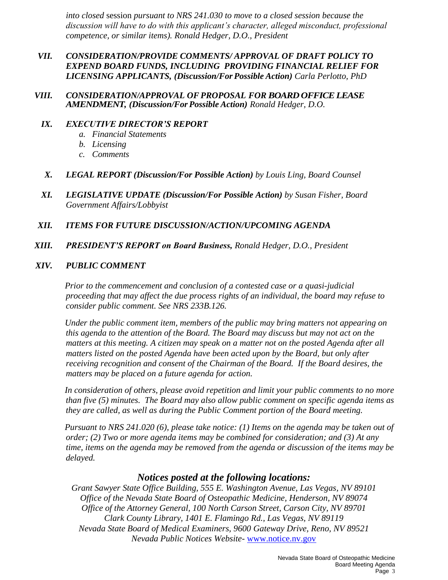*into closed* session *pursuant to NRS 241.030 to move to a closed session because the discussion will have to do with this applicant's character, alleged misconduct, professional competence, or similar items). Ronald Hedger, D.O., President* 

### *VII. CONSIDERATION/PROVIDE COMMENTS/ APPROVAL OF DRAFT POLICY TO EXPEND BOARD FUNDS, INCLUDING PROVIDING FINANCIAL RELIEF FOR LICENSING APPLICANTS, (Discussion/For Possible Action) Carla Perlotto, PhD*

*VIII. CONSIDERATION/APPROVAL OFPROPOSAL FOR BOARD OFFICE LEASE AMENDMENT, (Discussion/For Possible Action) Ronald Hedger, D.O.*

### *IX. EXECUTIVE DIRECTOR'S REPORT*

- *a. Financial Statements*
- *b. Licensing*
- *c. Comments*
- *X. LEGAL REPORT (Discussion/For Possible Action) by Louis Ling, Board Counsel*
- *XI. LEGISLATIVE UPDATE (Discussion/For Possible Action) by Susan Fisher, Board Government Affairs/Lobbyist*

### *XII. ITEMS FOR FUTURE DISCUSSION/ACTION/UPCOMING AGENDA*

*XIII. PRESIDENT'S REPORT on Board Business, Ronald Hedger, D.O., President*

### *XIV. PUBLIC COMMENT*

*Prior to the commencement and conclusion of a contested case or a quasi-judicial proceeding that may affect the due process rights of an individual, the board may refuse to consider public comment. See NRS 233B.126.*

*Under the public comment item, members of the public may bring matters not appearing on this agenda to the attention of the Board. The Board may discuss but may not act on the matters at this meeting. A citizen may speak on a matter not on the posted Agenda after all matters listed on the posted Agenda have been acted upon by the Board, but only after receiving recognition and consent of the Chairman of the Board. If the Board desires, the matters may be placed on a future agenda for action.*

*In consideration of others, please avoid repetition and limit your public comments to no more than five (5) minutes. The Board may also allow public comment on specific agenda items as they are called, as well as during the Public Comment portion of the Board meeting.* 

*Pursuant to NRS 241.020 (6), please take notice: (1) Items on the agenda may be taken out of order; (2) Two or more agenda items may be combined for consideration; and (3) At any time, items on the agenda may be removed from the agenda or discussion of the items may be delayed.*

### *Notices posted at the following locations:*

*Grant Sawyer State Office Building, 555 E. Washington Avenue, Las Vegas, NV 89101 Office of the Nevada State Board of Osteopathic Medicine, Henderson, NV 89074 Office of the Attorney General, 100 North Carson Street, Carson City, NV 89701 Clark County Library, 1401 E. Flamingo Rd., Las Vegas, NV 89119 Nevada State Board of Medical Examiners, 9600 Gateway Drive, Reno, NV 89521 Nevada Public Notices Website-* [www.notice.nv.gov](http://www.notice.nv.gov/)